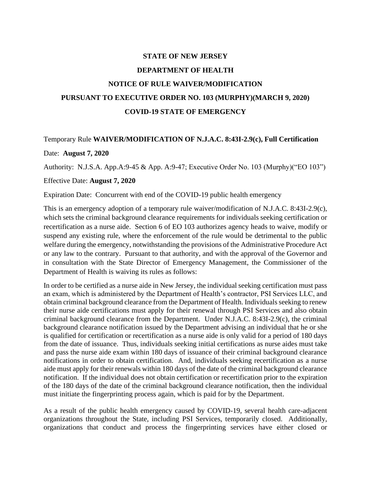## **STATE OF NEW JERSEY DEPARTMENT OF HEALTH NOTICE OF RULE WAIVER/MODIFICATION PURSUANT TO EXECUTIVE ORDER NO. 103 (MURPHY)(MARCH 9, 2020) COVID-19 STATE OF EMERGENCY**

## Temporary Rule **WAIVER/MODIFICATION OF N.J.A.C. 8:43I-2.9(c), Full Certification** Date: **August 7, 2020**

Authority: N.J.S.A. App.A:9-45 & App. A:9-47; Executive Order No. 103 (Murphy)("EO 103")

## Effective Date: **August 7, 2020**

Expiration Date: Concurrent with end of the COVID-19 public health emergency

This is an emergency adoption of a temporary rule waiver/modification of N.J.A.C. 8:43I-2.9(c), which sets the criminal background clearance requirements for individuals seeking certification or recertification as a nurse aide. Section 6 of EO 103 authorizes agency heads to waive, modify or suspend any existing rule, where the enforcement of the rule would be detrimental to the public welfare during the emergency, notwithstanding the provisions of the Administrative Procedure Act or any law to the contrary. Pursuant to that authority, and with the approval of the Governor and in consultation with the State Director of Emergency Management, the Commissioner of the Department of Health is waiving its rules as follows:

In order to be certified as a nurse aide in New Jersey, the individual seeking certification must pass an exam, which is administered by the Department of Health's contractor, PSI Services LLC, and obtain criminal background clearance from the Department of Health. Individuals seeking to renew their nurse aide certifications must apply for their renewal through PSI Services and also obtain criminal background clearance from the Department. Under N.J.A.C. 8:43I-2.9(c), the criminal background clearance notification issued by the Department advising an individual that he or she is qualified for certification or recertification as a nurse aide is only valid for a period of 180 days from the date of issuance. Thus, individuals seeking initial certifications as nurse aides must take and pass the nurse aide exam within 180 days of issuance of their criminal background clearance notifications in order to obtain certification. And, individuals seeking recertification as a nurse aide must apply for their renewals within 180 days of the date of the criminal background clearance notification. If the individual does not obtain certification or recertification prior to the expiration of the 180 days of the date of the criminal background clearance notification, then the individual must initiate the fingerprinting process again, which is paid for by the Department.

As a result of the public health emergency caused by COVID-19, several health care-adjacent organizations throughout the State, including PSI Services, temporarily closed. Additionally, organizations that conduct and process the fingerprinting services have either closed or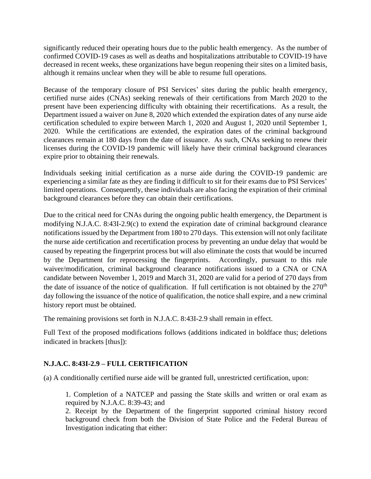significantly reduced their operating hours due to the public health emergency. As the number of confirmed COVID-19 cases as well as deaths and hospitalizations attributable to COVID-19 have decreased in recent weeks, these organizations have begun reopening their sites on a limited basis, although it remains unclear when they will be able to resume full operations.

Because of the temporary closure of PSI Services' sites during the public health emergency, certified nurse aides (CNAs) seeking renewals of their certifications from March 2020 to the present have been experiencing difficulty with obtaining their recertifications. As a result, the Department issued a waiver on June 8, 2020 which extended the expiration dates of any nurse aide certification scheduled to expire between March 1, 2020 and August 1, 2020 until September 1, 2020. While the certifications are extended, the expiration dates of the criminal background clearances remain at 180 days from the date of issuance. As such, CNAs seeking to renew their licenses during the COVID-19 pandemic will likely have their criminal background clearances expire prior to obtaining their renewals.

Individuals seeking initial certification as a nurse aide during the COVID-19 pandemic are experiencing a similar fate as they are finding it difficult to sit for their exams due to PSI Services' limited operations. Consequently, these individuals are also facing the expiration of their criminal background clearances before they can obtain their certifications.

Due to the critical need for CNAs during the ongoing public health emergency, the Department is modifying N.J.A.C. 8:43I-2.9(c) to extend the expiration date of criminal background clearance notifications issued by the Department from 180 to 270 days. This extension will not only facilitate the nurse aide certification and recertification process by preventing an undue delay that would be caused by repeating the fingerprint process but will also eliminate the costs that would be incurred by the Department for reprocessing the fingerprints. Accordingly, pursuant to this rule waiver/modification, criminal background clearance notifications issued to a CNA or CNA candidate between November 1, 2019 and March 31, 2020 are valid for a period of 270 days from the date of issuance of the notice of qualification. If full certification is not obtained by the 270<sup>th</sup> day following the issuance of the notice of qualification, the notice shall expire, and a new criminal history report must be obtained.

The remaining provisions set forth in N.J.A.C. 8:43I-2.9 shall remain in effect.

Full Text of the proposed modifications follows (additions indicated in boldface thus; deletions indicated in brackets [thus]):

## **N.J.A.C. 8:43I-2.9 – FULL CERTIFICATION**

(a) A conditionally certified nurse aide will be granted full, unrestricted certification, upon:

1. Completion of a NATCEP and passing the State skills and written or oral exam as required by N.J.A.C. 8:39-43; and

2. Receipt by the Department of the fingerprint supported criminal history record background check from both the Division of State Police and the Federal Bureau of Investigation indicating that either: